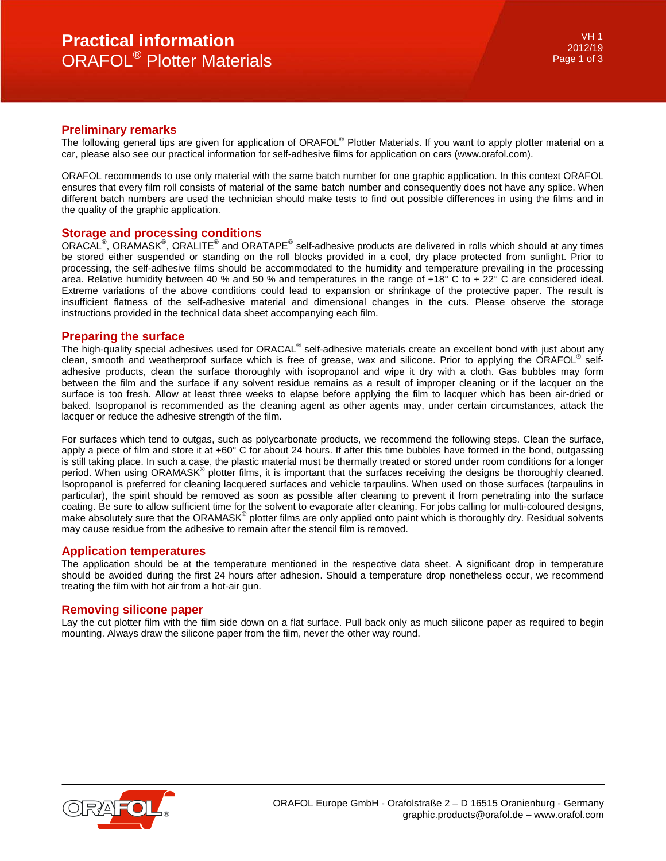## **Preliminary remarks**

The following general tips are given for application of ORAFOL® Plotter Materials. If you want to apply plotter material on a car, please also see our practical information for self-adhesive films for application on cars (www.orafol.com).

ORAFOL recommends to use only material with the same batch number for one graphic application. In this context ORAFOL ensures that every film roll consists of material of the same batch number and consequently does not have any splice. When different batch numbers are used the technician should make tests to find out possible differences in using the films and in the quality of the graphic application.

### **Storage and processing conditions**

ORACAL<sup>®</sup>, ORAMASK<sup>®</sup>, ORALITE<sup>®</sup> and ORATAPE<sup>®</sup> self-adhesive products are delivered in rolls which should at any times be stored either suspended or standing on the roll blocks provided in a cool, dry place protected from sunlight. Prior to processing, the self-adhesive films should be accommodated to the humidity and temperature prevailing in the processing area. Relative humidity between 40 % and 50 % and temperatures in the range of +18° C to + 22° C are considered ideal. Extreme variations of the above conditions could lead to expansion or shrinkage of the protective paper. The result is insufficient flatness of the self-adhesive material and dimensional changes in the cuts. Please observe the storage instructions provided in the technical data sheet accompanying each film.

### **Preparing the surface**

The high-quality special adhesives used for ORACAL® self-adhesive materials create an excellent bond with just about any clean, smooth and weatherproof surface which is free of grease, wax and silicone. Prior to applying the ORAFOL<sup>®</sup> selfadhesive products, clean the surface thoroughly with isopropanol and wipe it dry with a cloth. Gas bubbles may form between the film and the surface if any solvent residue remains as a result of improper cleaning or if the lacquer on the surface is too fresh. Allow at least three weeks to elapse before applying the film to lacquer which has been air-dried or baked. Isopropanol is recommended as the cleaning agent as other agents may, under certain circumstances, attack the lacquer or reduce the adhesive strength of the film.

For surfaces which tend to outgas, such as polycarbonate products, we recommend the following steps. Clean the surface, apply a piece of film and store it at +60° C for about 24 hours. If after this time bubbles have formed in the bond, outgassing is still taking place. In such a case, the plastic material must be thermally treated or stored under room conditions for a longer period. When using ORAMASK<sup>®</sup> plotter films, it is important that the surfaces receiving the designs be thoroughly cleaned. Isopropanol is preferred for cleaning lacquered surfaces and vehicle tarpaulins. When used on those surfaces (tarpaulins in particular), the spirit should be removed as soon as possible after cleaning to prevent it from penetrating into the surface coating. Be sure to allow sufficient time for the solvent to evaporate after cleaning. For jobs calling for multi-coloured designs, make absolutely sure that the ORAMASK® plotter films are only applied onto paint which is thoroughly dry. Residual solvents may cause residue from the adhesive to remain after the stencil film is removed.

## **Application temperatures**

The application should be at the temperature mentioned in the respective data sheet. A significant drop in temperature should be avoided during the first 24 hours after adhesion. Should a temperature drop nonetheless occur, we recommend treating the film with hot air from a hot-air gun.

## **Removing silicone paper**

Lay the cut plotter film with the film side down on a flat surface. Pull back only as much silicone paper as required to begin mounting. Always draw the silicone paper from the film, never the other way round.

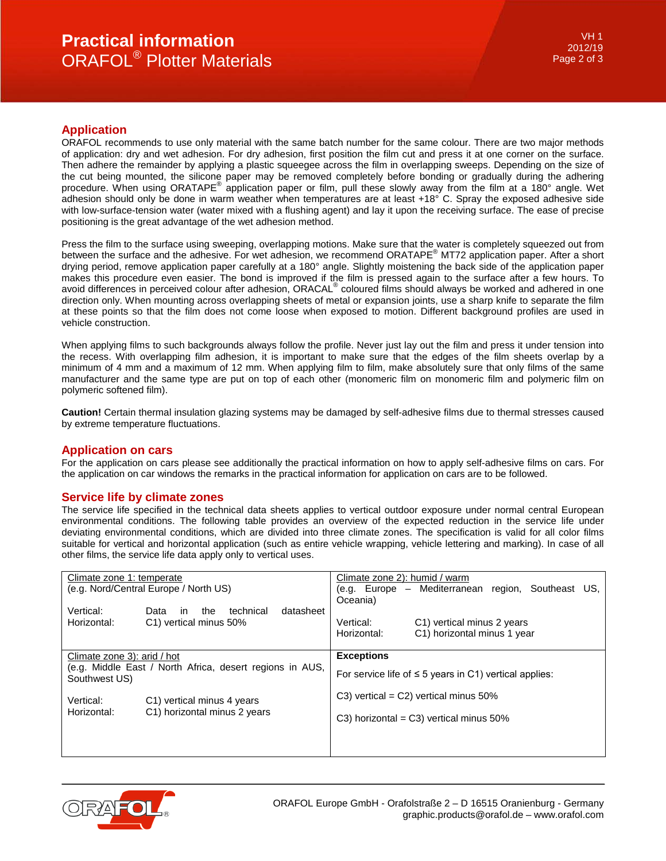# **Practical information** ORAFOL® Plotter Materials

## **Application**

ORAFOL recommends to use only material with the same batch number for the same colour. There are two major methods of application: dry and wet adhesion. For dry adhesion, first position the film cut and press it at one corner on the surface. Then adhere the remainder by applying a plastic squeegee across the film in overlapping sweeps. Depending on the size of the cut being mounted, the silicone paper may be removed completely before bonding or gradually during the adhering procedure. When using ORATAPE<sup>®</sup> application paper or film, pull these slowly away from the film at a 180° angle. Wet adhesion should only be done in warm weather when temperatures are at least +18° C. Spray the exposed adhesive side with low-surface-tension water (water mixed with a flushing agent) and lay it upon the receiving surface. The ease of precise positioning is the great advantage of the wet adhesion method.

Press the film to the surface using sweeping, overlapping motions. Make sure that the water is completely squeezed out from between the surface and the adhesive. For wet adhesion, we recommend ORATAPE® MT72 application paper. After a short drying period, remove application paper carefully at a 180° angle. Slightly moistening the back side of the application paper makes this procedure even easier. The bond is improved if the film is pressed again to the surface after a few hours. To avoid differences in perceived colour after adhesion, ORACAL<sup>®</sup> coloured films should always be worked and adhered in one direction only. When mounting across overlapping sheets of metal or expansion joints, use a sharp knife to separate the film at these points so that the film does not come loose when exposed to motion. Different background profiles are used in vehicle construction.

When applying films to such backgrounds always follow the profile. Never just lay out the film and press it under tension into the recess. With overlapping film adhesion, it is important to make sure that the edges of the film sheets overlap by a minimum of 4 mm and a maximum of 12 mm. When applying film to film, make absolutely sure that only films of the same manufacturer and the same type are put on top of each other (monomeric film on monomeric film and polymeric film on polymeric softened film).

**Caution!** Certain thermal insulation glazing systems may be damaged by self-adhesive films due to thermal stresses caused by extreme temperature fluctuations.

## **Application on cars**

For the application on cars please see additionally the practical information on how to apply self-adhesive films on cars. For the application on car windows the remarks in the practical information for application on cars are to be followed.

## **Service life by climate zones**

The service life specified in the technical data sheets applies to vertical outdoor exposure under normal central European environmental conditions. The following table provides an overview of the expected reduction in the service life under deviating environmental conditions, which are divided into three climate zones. The specification is valid for all color films suitable for vertical and horizontal application (such as entire vehicle wrapping, vehicle lettering and marking). In case of all other films, the service life data apply only to vertical uses.

| Climate zone 1: temperate<br>(e.g. Nord/Central Europe / North US)                                       |                                                                        | Climate zone 2): humid / warm<br>(e.g. Europe – Mediterranean region, Southeast US,<br>Oceania) |                                                           |  |  |  |
|----------------------------------------------------------------------------------------------------------|------------------------------------------------------------------------|-------------------------------------------------------------------------------------------------|-----------------------------------------------------------|--|--|--|
| Vertical:<br>Horizontal:                                                                                 | technical<br>datasheet<br>the<br>Data<br>in.<br>C1) vertical minus 50% | Vertical:<br>Horizontal:                                                                        | C1) vertical minus 2 years<br>C1) horizontal minus 1 year |  |  |  |
| Climate zone 3): arid / hot<br>(e.g. Middle East / North Africa, desert regions in AUS,<br>Southwest US) |                                                                        | <b>Exceptions</b><br>For service life of $\leq$ 5 years in C1) vertical applies:                |                                                           |  |  |  |
| Vertical:<br>Horizontal:                                                                                 | C1) vertical minus 4 years<br>C1) horizontal minus 2 years             | $C3$ ) vertical = $C2$ ) vertical minus 50%<br>$C3$ ) horizontal = $C3$ ) vertical minus 50%    |                                                           |  |  |  |
|                                                                                                          |                                                                        |                                                                                                 |                                                           |  |  |  |